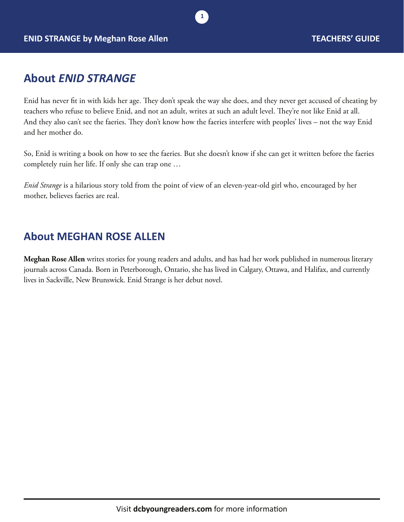### **About** *ENID STRANGE*

Enid has never fit in with kids her age. They don't speak the way she does, and they never get accused of cheating by teachers who refuse to believe Enid, and not an adult, writes at such an adult level. They're not like Enid at all. And they also can't see the faeries. They don't know how the faeries interfere with peoples' lives – not the way Enid and her mother do.

**1**

So, Enid is writing a book on how to see the faeries. But she doesn't know if she can get it written before the faeries completely ruin her life. If only she can trap one …

*Enid Strange* is a hilarious story told from the point of view of an eleven-year-old girl who, encouraged by her mother, believes faeries are real.

### **About MEGHAN ROSE ALLEN**

**Meghan Rose Allen** writes stories for young readers and adults, and has had her work published in numerous literary journals across Canada. Born in Peterborough, Ontario, she has lived in Calgary, Ottawa, and Halifax, and currently lives in Sackville, New Brunswick. Enid Strange is her debut novel.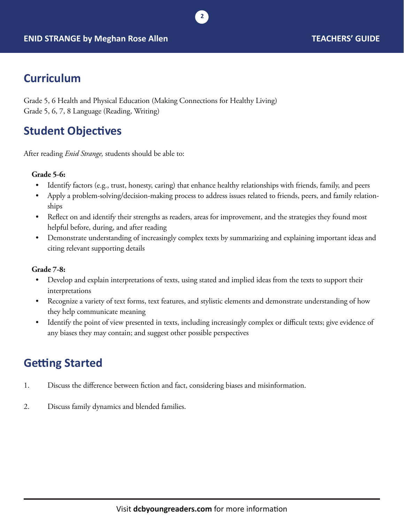

## **Curriculum**

Grade 5, 6 Health and Physical Education (Making Connections for Healthy Living) Grade 5, 6, 7, 8 Language (Reading, Writing)

# **Student Objectives**

After reading *Enid Strange,* students should be able to:

#### **Grade 5-6:**

Identify factors (e.g., trust, honesty, caring) that enhance healthy relationships with friends, family, and peers

**2**

- Apply a problem-solving/decision-making process to address issues related to friends, peers, and family relationships
- Reflect on and identify their strengths as readers, areas for improvement, and the strategies they found most helpful before, during, and after reading
- Demonstrate understanding of increasingly complex texts by summarizing and explaining important ideas and citing relevant supporting details

#### **Grade 7-8:**

- Develop and explain interpretations of texts, using stated and implied ideas from the texts to support their interpretations
- Recognize a variety of text forms, text features, and stylistic elements and demonstrate understanding of how they help communicate meaning
- Identify the point of view presented in texts, including increasingly complex or difficult texts; give evidence of any biases they may contain; and suggest other possible perspectives

### **Getting Started**

- 1. Discuss the difference between fiction and fact, considering biases and misinformation.
- 2. Discuss family dynamics and blended families.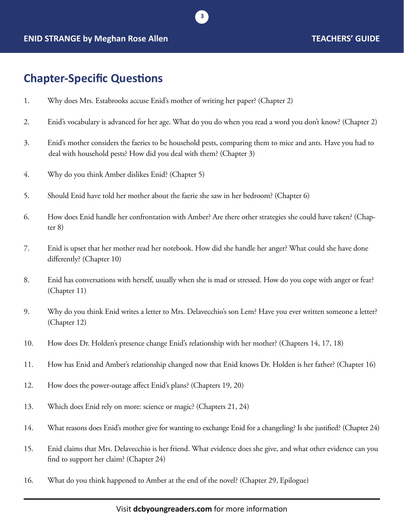#### **ENID STRANGE by Meghan Rose Allen TEACHERS' GUIDE**

### **Chapter-Specific Questions**

- 1. Why does Mrs. Estabrooks accuse Enid's mother of writing her paper? (Chapter 2)
- 2. Enid's vocabulary is advanced for her age. What do you do when you read a word you don't know? (Chapter 2)

**3**

- 3. Enid's mother considers the faeries to be household pests, comparing them to mice and ants. Have you had to deal with household pests? How did you deal with them? (Chapter 3)
- 4. Why do you think Amber dislikes Enid? (Chapter 5)
- 5. Should Enid have told her mother about the faerie she saw in her bedroom? (Chapter 6)
- 6. How does Enid handle her confrontation with Amber? Are there other strategies she could have taken? (Chapter 8)
- 7. Enid is upset that her mother read her notebook. How did she handle her anger? What could she have done differently? (Chapter 10)
- 8. Enid has conversations with herself, usually when she is mad or stressed. How do you cope with anger or fear? (Chapter 11)
- 9. Why do you think Enid writes a letter to Mrs. Delavecchio's son Lem? Have you ever written someone a letter? (Chapter 12)
- 10. How does Dr. Holden's presence change Enid's relationship with her mother? (Chapters 14, 17, 18)
- 11. How has Enid and Amber's relationship changed now that Enid knows Dr. Holden is her father? (Chapter 16)
- 12. How does the power-outage affect Enid's plans? (Chapters 19, 20)
- 13. Which does Enid rely on more: science or magic? (Chapters 21, 24)
- 14. What reasons does Enid's mother give for wanting to exchange Enid for a changeling? Is she justified? (Chapter 24)
- 15. Enid claims that Mrs. Delavecchio is her friend. What evidence does she give, and what other evidence can you find to support her claim? (Chapter 24)
- 16. What do you think happened to Amber at the end of the novel? (Chapter 29, Epilogue)